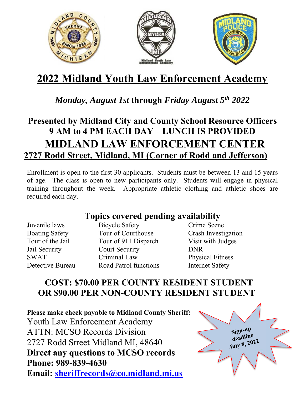

# **2022 Midland Youth Law Enforcement Academy**

## *Monday, August 1st* **through** *Friday August 5th 2022*

# **Presented by Midland City and County School Resource Officers 9 AM to 4 PM EACH DAY – LUNCH IS PROVIDED MIDLAND LAW ENFORCEMENT CENTER 2727 Rodd Street, Midland, MI (Corner of Rodd and Jefferson)**

Enrollment is open to the first 30 applicants. Students must be between 13 and 15 years of age. The class is open to new participants only. Students will engage in physical training throughout the week. Appropriate athletic clothing and athletic shoes are required each day.

#### **Topics covered pending availability**

Juvenile laws Bicycle Safety Crime Scene Boating Safety Tour of Courthouse Crash Investigation Tour of the Jail Tour of 911 Dispatch Visit with Judges Jail Security Court Security DNR SWAT Criminal Law Physical Fitness Detective Bureau Road Patrol functions Internet Safety

### **COST: \$70.00 PER COUNTY RESIDENT STUDENT OR \$90.00 PER NON-COUNTY RESIDENT STUDENT**

**Please make check payable to Midland County Sheriff:**  Youth Law Enforcement Academy ATTN: MCSO Records Division 2727 Rodd Street Midland MI, 48640 **Direct any questions to MCSO records Phone: 989-839-4630 Email: sheriffrecords@co.midland.mi.us**

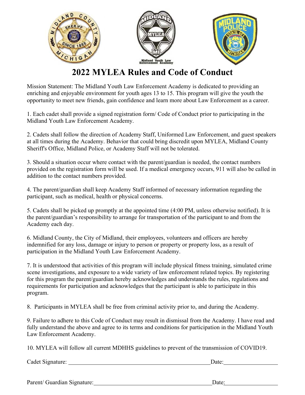

### **2022 MYLEA Rules and Code of Conduct**

Mission Statement: The Midland Youth Law Enforcement Academy is dedicated to providing an enriching and enjoyable environment for youth ages 13 to 15. This program will give the youth the opportunity to meet new friends, gain confidence and learn more about Law Enforcement as a career.

1. Each cadet shall provide a signed registration form/ Code of Conduct prior to participating in the Midland Youth Law Enforcement Academy.

2. Cadets shall follow the direction of Academy Staff, Uniformed Law Enforcement, and guest speakers at all times during the Academy. Behavior that could bring discredit upon MYLEA, Midland County Sheriff's Office, Midland Police, or Academy Staff will not be tolerated.

3. Should a situation occur where contact with the parent/guardian is needed, the contact numbers provided on the registration form will be used. If a medical emergency occurs, 911 will also be called in addition to the contact numbers provided.

4. The parent/guardian shall keep Academy Staff informed of necessary information regarding the participant, such as medical, health or physical concerns.

5. Cadets shall be picked up promptly at the appointed time (4:00 PM, unless otherwise notified). It is the parent/guardian's responsibility to arrange for transportation of the participant to and from the Academy each day.

6. Midland County, the City of Midland, their employees, volunteers and officers are hereby indemnified for any loss, damage or injury to person or property or property loss, as a result of participation in the Midland Youth Law Enforcement Academy.

7. It is understood that activities of this program will include physical fitness training, simulated crime scene investigations, and exposure to a wide variety of law enforcement related topics. By registering for this program the parent/guardian hereby acknowledges and understands the rules, regulations and requirements for participation and acknowledges that the participant is able to participate in this program.

8. Participants in MYLEA shall be free from criminal activity prior to, and during the Academy.

9. Failure to adhere to this Code of Conduct may result in dismissal from the Academy. I have read and fully understand the above and agree to its terms and conditions for participation in the Midland Youth Law Enforcement Academy.

10. MYLEA will follow all current MDHHS guidelines to prevent of the transmission of COVID19.

Cadet Signature: Date:

Parent/ Guardian Signature: Date: Date: Date: Date: